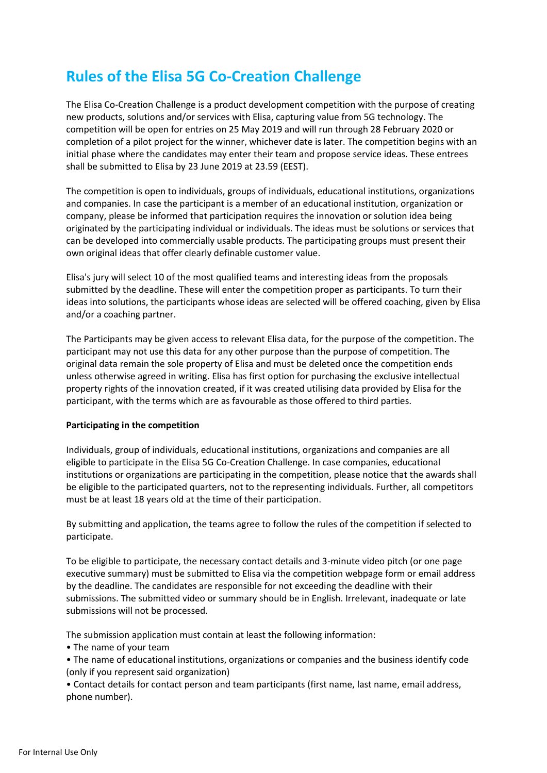## **Rules of the Elisa 5G Co-Creation Challenge**

The Elisa Co-Creation Challenge is a product development competition with the purpose of creating new products, solutions and/or services with Elisa, capturing value from 5G technology. The competition will be open for entries on 25 May 2019 and will run through 28 February 2020 or completion of a pilot project for the winner, whichever date is later. The competition begins with an initial phase where the candidates may enter their team and propose service ideas. These entrees shall be submitted to Elisa by 23 June 2019 at 23.59 (EEST).

The competition is open to individuals, groups of individuals, educational institutions, organizations and companies. In case the participant is a member of an educational institution, organization or company, please be informed that participation requires the innovation or solution idea being originated by the participating individual or individuals. The ideas must be solutions or services that can be developed into commercially usable products. The participating groups must present their own original ideas that offer clearly definable customer value.

Elisa's jury will select 10 of the most qualified teams and interesting ideas from the proposals submitted by the deadline. These will enter the competition proper as participants. To turn their ideas into solutions, the participants whose ideas are selected will be offered coaching, given by Elisa and/or a coaching partner.

The Participants may be given access to relevant Elisa data, for the purpose of the competition. The participant may not use this data for any other purpose than the purpose of competition. The original data remain the sole property of Elisa and must be deleted once the competition ends unless otherwise agreed in writing. Elisa has first option for purchasing the exclusive intellectual property rights of the innovation created, if it was created utilising data provided by Elisa for the participant, with the terms which are as favourable as those offered to third parties.

## **Participating in the competition**

Individuals, group of individuals, educational institutions, organizations and companies are all eligible to participate in the Elisa 5G Co-Creation Challenge. In case companies, educational institutions or organizations are participating in the competition, please notice that the awards shall be eligible to the participated quarters, not to the representing individuals. Further, all competitors must be at least 18 years old at the time of their participation.

By submitting and application, the teams agree to follow the rules of the competition if selected to participate.

To be eligible to participate, the necessary contact details and 3-minute video pitch (or one page executive summary) must be submitted to Elisa via the competition webpage form or email address by the deadline. The candidates are responsible for not exceeding the deadline with their submissions. The submitted video or summary should be in English. Irrelevant, inadequate or late submissions will not be processed.

The submission application must contain at least the following information:

• The name of your team

• The name of educational institutions, organizations or companies and the business identify code (only if you represent said organization)

• Contact details for contact person and team participants (first name, last name, email address, phone number).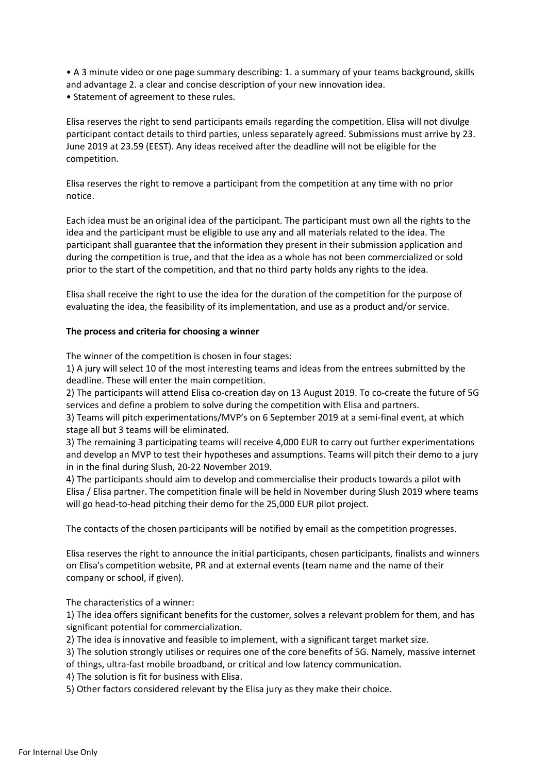• A 3 minute video or one page summary describing: 1. a summary of your teams background, skills and advantage 2. a clear and concise description of your new innovation idea. • Statement of agreement to these rules.

Elisa reserves the right to send participants emails regarding the competition. Elisa will not divulge participant contact details to third parties, unless separately agreed. Submissions must arrive by 23. June 2019 at 23.59 (EEST). Any ideas received after the deadline will not be eligible for the competition.

Elisa reserves the right to remove a participant from the competition at any time with no prior notice.

Each idea must be an original idea of the participant. The participant must own all the rights to the idea and the participant must be eligible to use any and all materials related to the idea. The participant shall guarantee that the information they present in their submission application and during the competition is true, and that the idea as a whole has not been commercialized or sold prior to the start of the competition, and that no third party holds any rights to the idea.

Elisa shall receive the right to use the idea for the duration of the competition for the purpose of evaluating the idea, the feasibility of its implementation, and use as a product and/or service.

## **The process and criteria for choosing a winner**

The winner of the competition is chosen in four stages:

1) A jury will select 10 of the most interesting teams and ideas from the entrees submitted by the deadline. These will enter the main competition.

2) The participants will attend Elisa co-creation day on 13 August 2019. To co-create the future of 5G services and define a problem to solve during the competition with Elisa and partners.

3) Teams will pitch experimentations/MVP's on 6 September 2019 at a semi-final event, at which stage all but 3 teams will be eliminated.

3) The remaining 3 participating teams will receive 4,000 EUR to carry out further experimentations and develop an MVP to test their hypotheses and assumptions. Teams will pitch their demo to a jury in in the final during Slush, 20-22 November 2019.

4) The participants should aim to develop and commercialise their products towards a pilot with Elisa / Elisa partner. The competition finale will be held in November during Slush 2019 where teams will go head-to-head pitching their demo for the 25,000 EUR pilot project.

The contacts of the chosen participants will be notified by email as the competition progresses.

Elisa reserves the right to announce the initial participants, chosen participants, finalists and winners on Elisa's competition website, PR and at external events (team name and the name of their company or school, if given).

The characteristics of a winner:

1) The idea offers significant benefits for the customer, solves a relevant problem for them, and has significant potential for commercialization.

2) The idea is innovative and feasible to implement, with a significant target market size.

- 3) The solution strongly utilises or requires one of the core benefits of 5G. Namely, massive internet
- of things, ultra-fast mobile broadband, or critical and low latency communication.

4) The solution is fit for business with Elisa.

5) Other factors considered relevant by the Elisa jury as they make their choice.